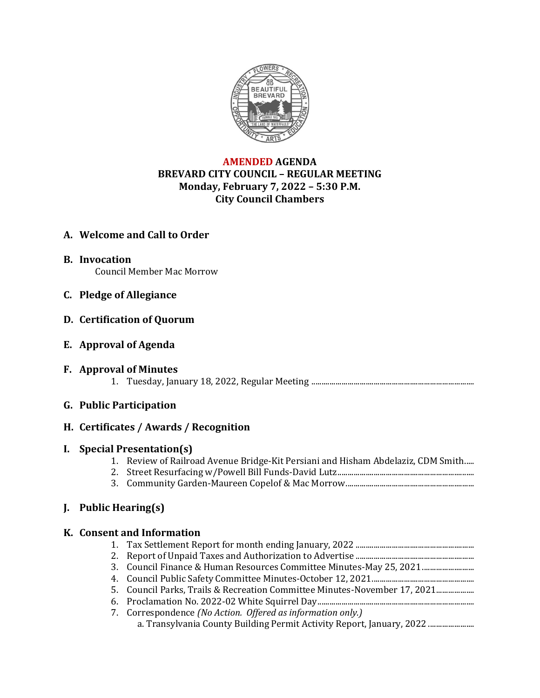

## **AMENDED AGENDA BREVARD CITY COUNCIL – REGULAR MEETING Monday, February 7, 2022 – 5:30 P.M. City Council Chambers**

# **A. Welcome and Call to Order**

- **B. Invocation** Council Member Mac Morrow
- **C. Pledge of Allegiance**
- **D. Certification of Quorum**
- **E. Approval of Agenda**
- **F. Approval of Minutes** 1. Tuesday, January 18, 2022, Regular Meeting .................................................................................

## **G. Public Participation**

## **H. Certificates / Awards / Recognition**

## **I. Special Presentation(s)**

- 1. Review of Railroad Avenue Bridge-Kit Persiani and Hisham Abdelaziz, CDM Smith.....
- 2. Street Resurfacing w/Powell Bill Funds-David Lutz....................................................................
- 3. Community Garden-Maureen Copelof & Mac Morrow................................................................

## **J. Public Hearing(s)**

## **K. Consent and Information**

- 1. Tax Settlement Report for month ending January, 2022 ........................................................... 2. Report of Unpaid Taxes and Authorization to Advertise ........................................................... 3. Council Finance & Human Resources Committee Minutes-May 25, 2021................................ 4. Council Public Safety Committee Minutes-October 12, 2021................................................... 5. Council Parks, Trails & Recreation Committee Minutes-November 17, 2021................... 6. Proclamation No. 2022-02 White Squirrel Day.............................................................................. 7. Correspondence *(No Action. Offered as information only.)*
	- a. Transylvania County Building Permit Activity Report, January, 2022 .......................